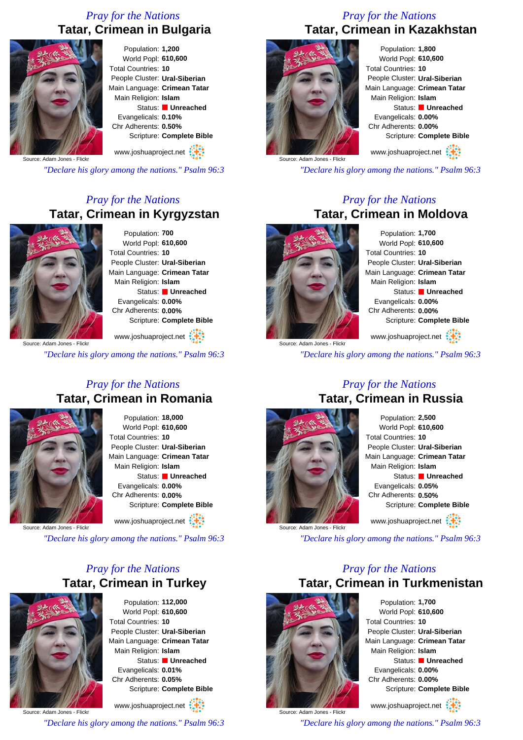## *Pray for the Nations* **Tatar, Crimean in Bulgaria**



Population: **1,200** World Popl: **610,600** Total Countries: **10** People Cluster: **Ural-Siberian** Main Language: **Crimean Tatar** Main Religion: **Islam** Status: **Unreached** Evangelicals: **0.10%** Chr Adherents: **0.50%** Scripture: **Complete Bible**

www.joshuaproject.net

Source: Adam Jones - Flickr

*"Declare his glory among the nations." Psalm 96:3*

### *Pray for the Nations* **Tatar, Crimean in Kyrgyzstan**



Population: **700** World Popl: **610,600** Total Countries: **10** People Cluster: **Ural-Siberian** Main Language: **Crimean Tatar** Main Religion: **Islam** Status: **Unreached** Evangelicals: **0.00%** Chr Adherents: **0.00%** Scripture: **Complete Bible**

www.joshuaproject.net

*"Declare his glory among the nations." Psalm 96:3*

#### *Pray for the Nations* **Tatar, Crimean in Romania**



Population: **18,000** World Popl: **610,600** Total Countries: **10** People Cluster: **Ural-Siberian** Main Language: **Crimean Tatar** Main Religion: **Islam** Status: **Unreached** Evangelicals: **0.00%** Chr Adherents: **0.00%** Scripture: **Complete Bible** www.joshuaproject.net

Source: Adam Jones - Flickr

*"Declare his glory among the nations." Psalm 96:3*

## *Pray for the Nations* **Tatar, Crimean in Turkey**



Population: **112,000** World Popl: **610,600** Total Countries: **10** People Cluster: **Ural-Siberian** Main Language: **Crimean Tatar** Main Religion: **Islam** Status: **Unreached** Evangelicals: **0.01%** Chr Adherents: **0.05%** Scripture: **Complete Bible** www.joshuaproject.net

Source: Adam Jones - Flickr

*"Declare his glory among the nations." Psalm 96:3*

#### *Pray for the Nations* **Tatar, Crimean in Kazakhstan**



Population: **1,800** World Popl: **610,600** Total Countries: **10** People Cluster: **Ural-Siberian** Main Language: **Crimean Tatar** Main Religion: **Islam** Status: **Unreached** Evangelicals: **0.00%** Chr Adherents: **0.00%** Scripture: **Complete Bible** www.joshuaproject.net

*"Declare his glory among the nations." Psalm 96:3*

#### *Pray for the Nations* **Tatar, Crimean in Moldova**



Source: Adam Jones - Flickr

Population: **1,700** World Popl: **610,600** Total Countries: **10** People Cluster: **Ural-Siberian** Main Language: **Crimean Tatar** Main Religion: **Islam** Status: **Unreached** Evangelicals: **0.00%** Chr Adherents: **0.00%** Scripture: **Complete Bible** www.joshuaproject.net

*"Declare his glory among the nations." Psalm 96:3*

#### *Pray for the Nations* **Tatar, Crimean in Russia**



Population: **2,500** World Popl: **610,600** Total Countries: **10** People Cluster: **Ural-Siberian** Main Language: **Crimean Tatar** Main Religion: **Islam** Status: **Unreached** Evangelicals: **0.05%** Chr Adherents: **0.50%** Scripture: **Complete Bible** www.joshuaproject.net

*"Declare his glory among the nations." Psalm 96:3*

### *Pray for the Nations* **Tatar, Crimean in Turkmenistan**



Population: **1,700** World Popl: **610,600** Total Countries: **10** People Cluster: **Ural-Siberian** Main Language: **Crimean Tatar** Main Religion: **Islam** Status: **Unreached** Evangelicals: **0.00%** Chr Adherents: **0.00%** Scripture: **Complete Bible**

Source: Adam Jones - Flickr www.joshuaproject.net

*"Declare his glory among the nations." Psalm 96:3*